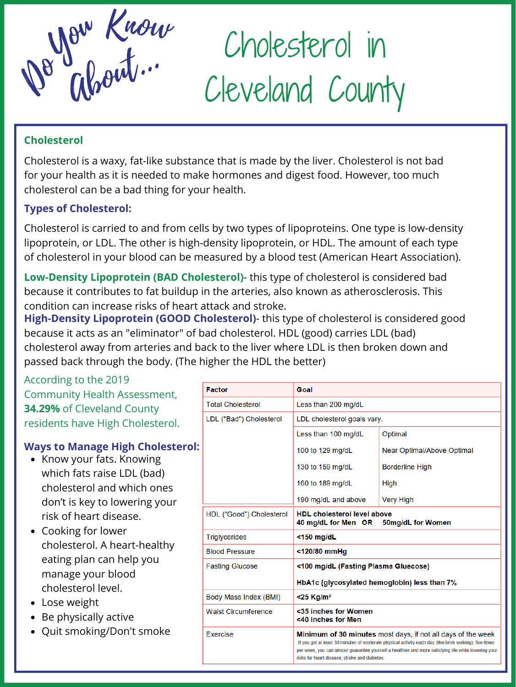Cholesterol in Cleveland County



Cholesterol is a waxy, fat-like substance that is made by the liver. Cholesterol is not bad for your health as it is needed to make hormones and digest food. However, too much cholesterol can be a bad thing for your health.

#### **Cholesterol**

Cholesterol is carried to and from cells by two types of lipoproteins. One type is low-density lipoprotein, or LDL. The other is high-density lipoprotein, or HDL. The amount of each type of cholesterol in your blood can be measured by a blood test (American Heart Association).

### **Types of Cholesterol:**

**Low-Density Lipoprotein (BAD Cholesterol)**- this type of cholesterol is considered bad because it contributes to fat buildup in the arteries, also known as atherosclerosis. This condition can increase risks of heart attack and stroke.

**High-Density Lipoprotein (GOOD Cholesterol)**- this type of cholesterol is considered good because it acts as an "eliminator" of bad cholesterol. HDL (good) carries LDL (bad) cholesterol away from arteries and back to the liver where LDL is then broken down and

#### passed back through the body. (The higher the HDL the better)

According to the 2019 Community Health Assessment, **34.29%** of Cleveland County residents have High Cholesterol.

# **Ways to Manage High Cholesterol:**

- Know your fats. Knowing  $\bullet$ which fats raise LDL (bad) cholesterol and which ones don't is key to lowering your risk of heart disease.
- Cooking for lower cholesterol. A heart-healthy eating plan can help you manage your blood cholesterol level.
- Lose weight
- Be physically active
- Quit smoking/Don't smoke

| <b>Factor</b>              | Goal                                                                                                                                                                                                                                                                                                                                   |                            |
|----------------------------|----------------------------------------------------------------------------------------------------------------------------------------------------------------------------------------------------------------------------------------------------------------------------------------------------------------------------------------|----------------------------|
| <b>Total Cholesterol</b>   | Less than 200 mg/dL                                                                                                                                                                                                                                                                                                                    |                            |
| LDL ("Bad") Cholesterol    | LDL cholesterol goals vary.                                                                                                                                                                                                                                                                                                            |                            |
|                            | Less than 100 mg/dL                                                                                                                                                                                                                                                                                                                    | Optimal                    |
|                            | 100 to 129 mg/dL                                                                                                                                                                                                                                                                                                                       | Near Optimal/Above Optimal |
|                            | 130 to 159 mg/dL                                                                                                                                                                                                                                                                                                                       | <b>Borderline High</b>     |
|                            | 160 to 189 mg/dL                                                                                                                                                                                                                                                                                                                       | High                       |
|                            | 190 mg/dL and above                                                                                                                                                                                                                                                                                                                    | Very High                  |
| HDL ("Good") Cholesterol   | <b>HDL</b> cholesterol level above<br>40 mg/dL for Men OR 50mg/dL for Women                                                                                                                                                                                                                                                            |                            |
| <b>Triglycerides</b>       | $<$ 150 mg/dL                                                                                                                                                                                                                                                                                                                          |                            |
| <b>Blood Pressure</b>      | <120/80 mmHg                                                                                                                                                                                                                                                                                                                           |                            |
| <b>Fasting Glucose</b>     | <100 mg/dL (Fasting Plasma Gluecose)                                                                                                                                                                                                                                                                                                   |                            |
|                            | HbA1c (glycosylated hemoglobin) less than 7%                                                                                                                                                                                                                                                                                           |                            |
| Body Mass Index (BMI)      | $<$ 25 Kg/m <sup>2</sup>                                                                                                                                                                                                                                                                                                               |                            |
| <b>Waist Circumference</b> | <35 inches for Women<br><40 inches for Men                                                                                                                                                                                                                                                                                             |                            |
| <b>Exercise</b>            | <b>Minimum of 30 minutes</b> most days, if not all days of the week<br>If you get at least 30 minutes of moderate physical activity each day (like brisk walking), five times<br>per week, you can almost guarantee yourself a healthier and more satisfying life while lowering your<br>risks for heart disease, stroke and diabetes. |                            |